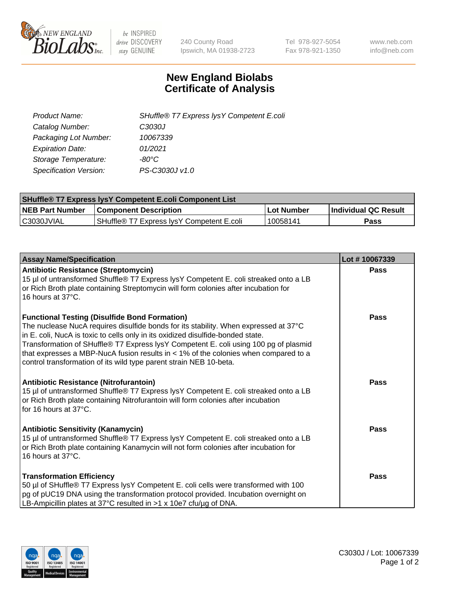

 $be$  INSPIRED drive DISCOVERY stay GENUINE

240 County Road Ipswich, MA 01938-2723 Tel 978-927-5054 Fax 978-921-1350 www.neb.com info@neb.com

## **New England Biolabs Certificate of Analysis**

| SHuffle® T7 Express lysY Competent E.coli |
|-------------------------------------------|
| C3030J                                    |
| 10067339                                  |
| 01/2021                                   |
| -80°C                                     |
| PS-C3030J v1.0                            |
|                                           |

| <b>SHuffle® T7 Express lysY Competent E.coli Component List</b> |                                           |            |                      |  |
|-----------------------------------------------------------------|-------------------------------------------|------------|----------------------|--|
| <b>NEB Part Number</b>                                          | <b>Component Description</b>              | Lot Number | Individual QC Result |  |
| C3030JVIAL                                                      | SHuffle® T7 Express IysY Competent E.coli | 10058141   | Pass                 |  |

| <b>Assay Name/Specification</b>                                                                                                                                                                                                                                                                                                                                                                                                                                                        | Lot #10067339 |
|----------------------------------------------------------------------------------------------------------------------------------------------------------------------------------------------------------------------------------------------------------------------------------------------------------------------------------------------------------------------------------------------------------------------------------------------------------------------------------------|---------------|
| <b>Antibiotic Resistance (Streptomycin)</b><br>15 µl of untransformed Shuffle® T7 Express lysY Competent E. coli streaked onto a LB<br>or Rich Broth plate containing Streptomycin will form colonies after incubation for<br>16 hours at 37°C.                                                                                                                                                                                                                                        | <b>Pass</b>   |
| <b>Functional Testing (Disulfide Bond Formation)</b><br>The nuclease NucA requires disulfide bonds for its stability. When expressed at 37°C<br>in E. coli, NucA is toxic to cells only in its oxidized disulfide-bonded state.<br>Transformation of SHuffle® T7 Express lysY Competent E. coli using 100 pg of plasmid<br>that expresses a MBP-NucA fusion results in $<$ 1% of the colonies when compared to a<br>control transformation of its wild type parent strain NEB 10-beta. | <b>Pass</b>   |
| <b>Antibiotic Resistance (Nitrofurantoin)</b><br>15 µl of untransformed Shuffle® T7 Express lysY Competent E. coli streaked onto a LB<br>or Rich Broth plate containing Nitrofurantoin will form colonies after incubation<br>for 16 hours at $37^{\circ}$ C.                                                                                                                                                                                                                          | <b>Pass</b>   |
| <b>Antibiotic Sensitivity (Kanamycin)</b><br>15 µl of untransformed Shuffle® T7 Express lysY Competent E. coli streaked onto a LB<br>or Rich Broth plate containing Kanamycin will not form colonies after incubation for<br>16 hours at 37°C.                                                                                                                                                                                                                                         | Pass          |
| <b>Transformation Efficiency</b><br>50 µl of SHuffle® T7 Express lysY Competent E. coli cells were transformed with 100<br>pg of pUC19 DNA using the transformation protocol provided. Incubation overnight on<br>LB-Ampicillin plates at 37°C resulted in >1 x 10e7 cfu/µg of DNA.                                                                                                                                                                                                    | <b>Pass</b>   |